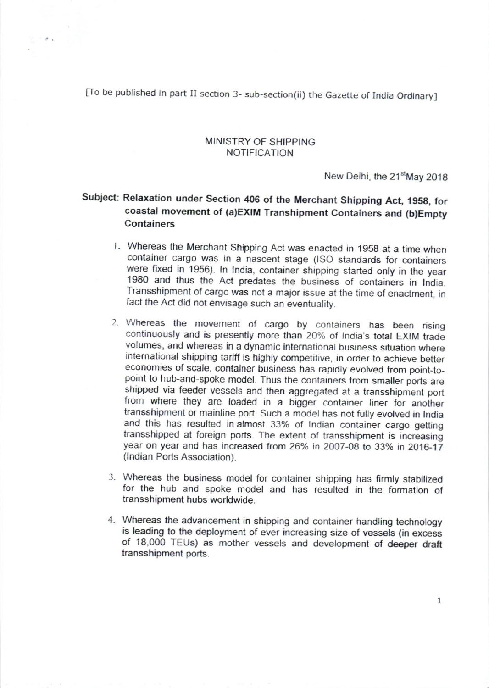[To be published in part II section 3- sub-section(ii) the Gazette of lndia Ordinary]

 $\sigma$ .

## MINISTRY OF SHIPPING NOTIFICATION

New Delhi, the 21<sup>st</sup>May 2018

## Subject: Relaxation under Section 406 of the Merchant Shipping Act, 1958, for coastal movement of (a)EXIM Transhipment Containers and (b)Empty **Containers**

- l. Whereas the Merchant Shipping Act was enacted in 195g at a Ime when container cargo was in a nascent stage (lSO standards for containers were fixed in 1956). In India, container shipping started only in the year 1980 and thus the Act predates the business of containers in India. Transshipment of cargo was not a major issue at the time of enactment, in fact the Act did not envisage such an eventuality.
- 2. Whereas the movement of cargo by containers has been rising continuously and is presently more than 20% of India's total EXIM trade volumes, and whereas in a dynamic international business siluation where international shipping tariff is highly competitive, in order to achieve better economies of scale, container business has rapidly evolved from point-topoint to hub-and-spoke model. Thus the containers from smaller ports are shipped via feeder vessels and then aggregated at a transshipment port from where they are loaded in a bigger container liner for another transshipment or mainline port. Such a model has not fully evolved in lndia and this has resulted in almost 33% of Indian container cargo getting transshipped at foreign ports. The extent of transshipment is increasing year on year and has increased from 26% in 2007-08 to 33% in 2016-17 (lndian Ports Association).
- 3. Whereas the business model for container shipping has firmly stabilized for the hub and spoke model and has resulted in the formation of transshipment hubs worldwide.
- 4. Whereas the advancement in shipping and container handling technology is leading to the deployment of ever increasing size of vessels (in excess of 18,000 TEUs) as mother vessels and development of deeper draft transshipment ports.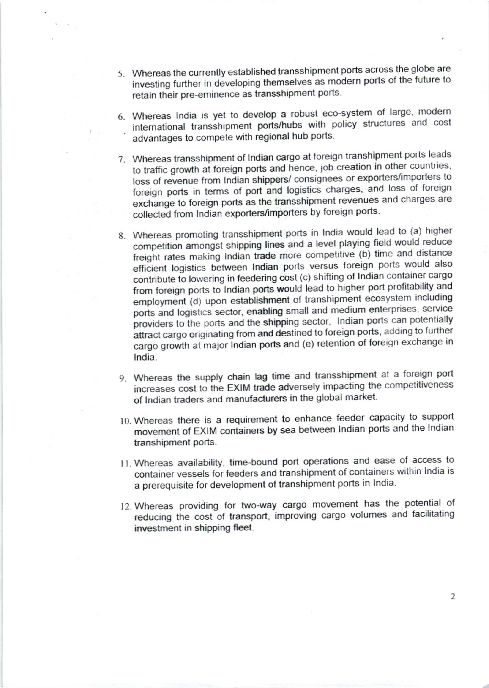- 5. Whereas the currently established transshipment ports across the globe are investing further in developing themselves as modern ports of the future to retain their pre-eminence as transshipment ports.
- 6. Whereas India is yet to develop a robust eco-system of large, modern international transshipment ports/hubs with policy structures and cost advantages to compete with regional hub ports.
- 7. Whereas transshipment of Indian cargo at foreign transhipment ports leads to traffic growth at foreign ports and hence, job creation in other countries, loss of revenue from Indian shippers/ consignees or exporters/importers to foreign ports in terms of port and logistics charges, and loss of foreign exchange to foreign ports as the transshipment revenues and charges are collected from Indian exporters/importers by foreign ports.
- 8. Whereas promoting transshipment ports in India would lead to (a) higher competition amongst shipping lines and a level playing field would reduce freight rates making Indian trade more competitive (b) time and distance efficient logistics between Indian ports versus foreign ports would also contribute to lowering in feedering cost (c) shifting of Indian container cargo from foreign ports to Indian ports would lead to higher port profitability and employment (d) upon establishment of transhipment ecosystem including ports and logistics sector, enabling small and medium enterprises, service providers to the ports and the shipping sector, Indian ports can potentially attract cargo originating from and destined to foreign ports, adding to further cargo growth at major Indian ports and (e) retention of foreign exchange in India.
- 9. Whereas the supply chain lag time and transshipment at a foreign port increases cost to the EXIM trade adversely impacting the competitiveness of Indian traders and manufacturers in the global market.
- 10. Whereas there is a requirement to enhance feeder capacity to support movement of EXIM containers by sea between Indian ports and the Indian transhipment ports.
- 11. Whereas availability, time-bound port operations and ease of access to container vessels for feeders and transhipment of containers within India is a prerequisite for development of transhipment ports in India.
- 12. Whereas providing for two-way cargo movement has the potential of reducing the cost of transport, improving cargo volumes and facilitating investment in shipping fleet.

 $\overline{2}$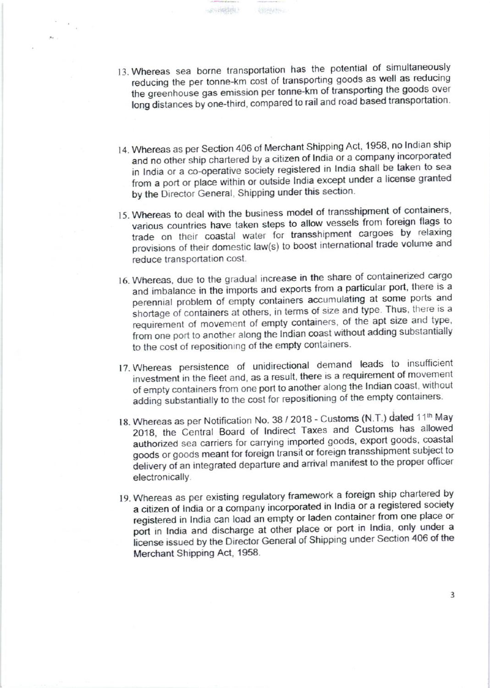13. Whereas sea borne transportation has the potential of simultaneously reducing the per tonne-km cost of transporting goods as well as reducing the greenhouse gas emission per tonne-km of transporting the goods over long distances by one-third, compared to rail and road based transportation.

(中国光线大学)

(所有的能制)

- 14. Whereas as per Section 406 of Merchant Shipping Act, 1958, no Indian ship and no other ship chartered by a citizen of India or a company incorporated in India or a co-operative society registered in India shall be taken to sea from a port or place within or outside India except under a license granted by the Director General, Shipping under this section.
- 15. Whereas to deal with the business model of transshipment of containers, various countries have taken steps to allow vessels from foreign flags to trade on their coastal water for transshipment cargoes by relaxing provisions of their domestic law(s) to boost international trade volume and reduce transportation cost.
- 16. Whereas, due to the gradual increase in the share of containerized cargo and imbalance in the imports and exports from a particular port, there is a perennial problem of empty containers accumulating at some ports and shortage of containers at others, in terms of size and type. Thus, there is a requirement of movement of empty containers, of the apt size and type, from one port to another along the Indian coast without adding substantially to the cost of repositioning of the empty containers.
- 17. Whereas persistence of unidirectional demand leads to insufficient investment in the fleet and, as a result, there is a requirement of movement of empty containers from one port to another along the Indian coast, without adding substantially to the cost for repositioning of the empty containers.
- 18. Whereas as per Notification No. 38 / 2018 Customs (N.T.) dated 11<sup>th</sup> May 2018, the Central Board of Indirect Taxes and Customs has allowed authorized sea carriers for carrying imported goods, export goods, coastal goods or goods meant for foreign transit or foreign transshipment subject to delivery of an integrated departure and arrival manifest to the proper officer electronically.
- 19. Whereas as per existing regulatory framework a foreign ship chartered by a citizen of India or a company incorporated in India or a registered society registered in India can load an empty or laden container from one place or port in India and discharge at other place or port in India, only under a license issued by the Director General of Shipping under Section 406 of the Merchant Shipping Act, 1958.

3